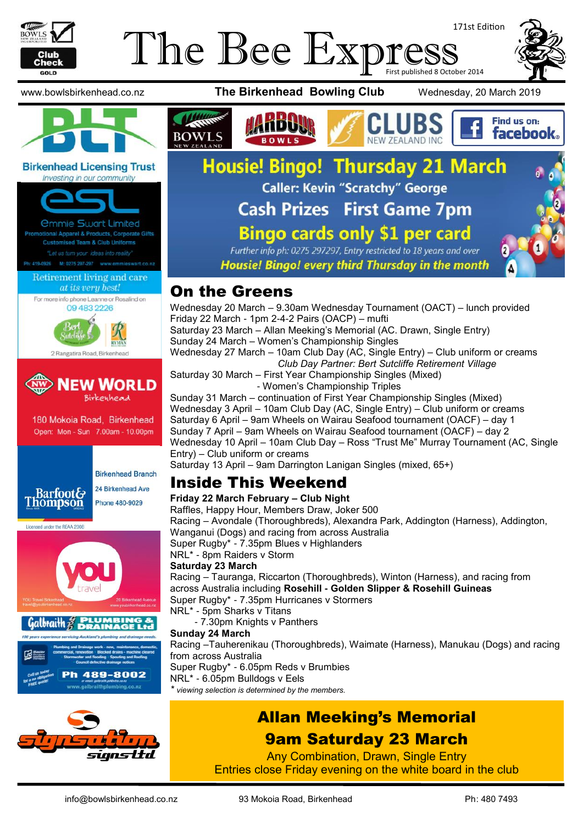

# 171st Edition The Bee Express





#### **Birkenhead Licensing Trust** Investing in our community



2 Rangatira Road, Birkenhead



180 Mokoia Road, Birkenhead Open: Mon - Sun 7.00am - 10.00pm



**Birkenhead Branch** 24 Birkenhead Ave

Licensed under the REAA 2008





www.bowlsbirkenhead.co.nz **The Birkenhead Bowling Club** Wednesday, 20 March 2019





# **Housie! Bingo! Thursday 21 March** Caller: Kevin "Scratchy" George **Cash Prizes First Game 7pm Bingo cards only \$1 per card**

Further info ph: 0275 297297, Entry restricted to 18 years and over Housie! Bingo! every third Thursday in the month

#### On the Greens

**BOWLS** 

Wednesday 20 March – 9.30am Wednesday Tournament (OACT) – lunch provided Friday 22 March - 1pm 2-4-2 Pairs (OACP) – mufti Saturday 23 March – Allan Meeking's Memorial (AC. Drawn, Single Entry) Sunday 24 March – Women's Championship Singles Wednesday 27 March – 10am Club Day (AC, Single Entry) – Club uniform or creams *Club Day Partner: Bert Sutcliffe Retirement Village* Saturday 30 March – First Year Championship Singles (Mixed) - Women's Championship Triples Sunday 31 March – continuation of First Year Championship Singles (Mixed) Wednesday 3 April – 10am Club Day (AC, Single Entry) – Club uniform or creams Saturday 6 April – 9am Wheels on Wairau Seafood tournament (OACF) – day 1 Sunday 7 April – 9am Wheels on Wairau Seafood tournament (OACF) – day 2

Wednesday 10 April – 10am Club Day – Ross "Trust Me" Murray Tournament (AC, Single Entry) – Club uniform or creams

Saturday 13 April – 9am Darrington Lanigan Singles (mixed, 65+)

#### Inside This Weekend

**Friday 22 March February – Club Night**  Raffles, Happy Hour, Members Draw, Joker 500 Racing – Avondale (Thoroughbreds), Alexandra Park, Addington (Harness), Addington, Wanganui (Dogs) and racing from across Australia Super Rugby\* - 7.35pm Blues v Highlanders NRL\* - 8pm Raiders v Storm **Saturday 23 March**  Racing – Tauranga, Riccarton (Thoroughbreds), Winton (Harness), and racing from across Australia including **Rosehill - Golden Slipper & Rosehill Guineas** Super Rugby\* - 7.35pm Hurricanes v Stormers NRL\* - 5pm Sharks v Titans - 7.30pm Knights v Panthers **Sunday 24 March** Racing –Tauherenikau (Thoroughbreds), Waimate (Harness), Manukau (Dogs) and racing from across Australia Super Rugby\* - 6.05pm Reds v Brumbies NRL\* - 6.05pm Bulldogs v Eels *\* viewing selection is determined by the members.*

## Allan Meeking's Memorial 9am Saturday 23 March

Any Combination, Drawn, Single Entry Entries close Friday evening on the white board in the club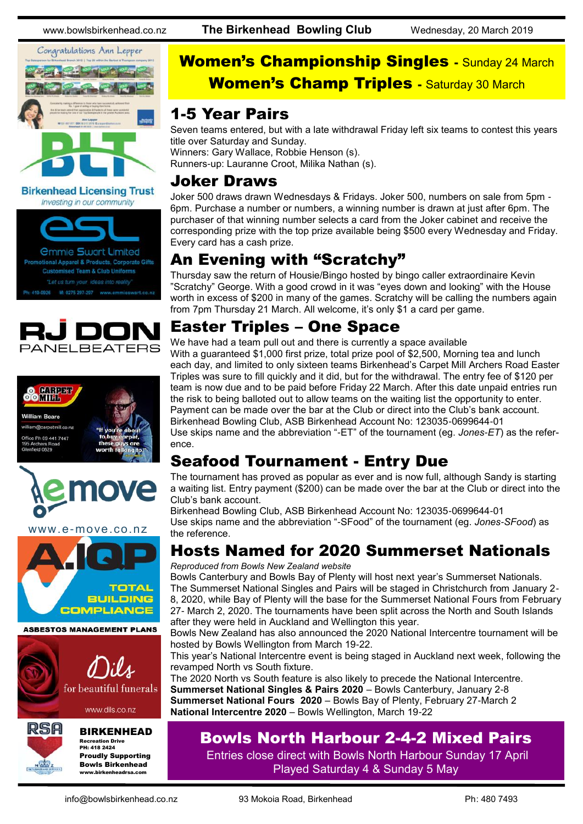www.bowlsbirkenhead.co.nz **The Birkenhead Bowling Club** Wednesday, 20 March 2019



**Birkenhead Licensing Trust** Investing in our community









www.e-move.co.nz



**ASBESTOS MANAGEMENT PLANS** 



www.dils.co.nz



#### BIRKENHEAD

Recreation Drive PH: 418 2424 Proudly Supporting Bowls Birkenhead www.birkenheadrsa.com

# Women's Championship Singles - Sunday 24 March **Women's Champ Triples - Saturday 30 March**

#### 1-5 Year Pairs

Seven teams entered, but with a late withdrawal Friday left six teams to contest this years title over Saturday and Sunday. Winners: Gary Wallace, Robbie Henson (s).

Runners-up: Lauranne Croot, Milika Nathan (s).

#### Joker Draws

Joker 500 draws drawn Wednesdays & Fridays. Joker 500, numbers on sale from 5pm - 6pm. Purchase a number or numbers, a winning number is drawn at just after 6pm. The purchaser of that winning number selects a card from the Joker cabinet and receive the corresponding prize with the top prize available being \$500 every Wednesday and Friday. Every card has a cash prize.

#### An Evening with "Scratchy"

Thursday saw the return of Housie/Bingo hosted by bingo caller extraordinaire Kevin "Scratchy" George. With a good crowd in it was "eyes down and looking" with the House worth in excess of \$200 in many of the games. Scratchy will be calling the numbers again from 7pm Thursday 21 March. All welcome, it's only \$1 a card per game.

## Easter Triples – One Space

We have had a team pull out and there is currently a space available With a guaranteed \$1,000 first prize, total prize pool of \$2,500, Morning tea and lunch each day, and limited to only sixteen teams Birkenhead's Carpet Mill Archers Road Easter Triples was sure to fill quickly and it did, but for the withdrawal. The entry fee of \$120 per team is now due and to be paid before Friday 22 March. After this date unpaid entries run the risk to being balloted out to allow teams on the waiting list the opportunity to enter. Payment can be made over the bar at the Club or direct into the Club's bank account. Birkenhead Bowling Club, ASB Birkenhead Account No: 123035-0699644-01 Use skips name and the abbreviation "-ET" of the tournament (eg. *Jones-ET*) as the reference.

## Seafood Tournament - Entry Due

The tournament has proved as popular as ever and is now full, although Sandy is starting a waiting list. Entry payment (\$200) can be made over the bar at the Club or direct into the Club's bank account.

Birkenhead Bowling Club, ASB Birkenhead Account No: 123035-0699644-01 Use skips name and the abbreviation "-SFood" of the tournament (eg. *Jones-SFood*) as the reference.

## Hosts Named for 2020 Summerset Nationals

*Reproduced from Bowls New Zealand website*

Bowls Canterbury and Bowls Bay of Plenty will host next year's Summerset Nationals. The Summerset National Singles and Pairs will be staged in Christchurch from January 2- 8, 2020, while Bay of Plenty will the base for the Summerset National Fours from February 27- March 2, 2020. The tournaments have been split across the North and South Islands after they were held in Auckland and Wellington this year.

Bowls New Zealand has also announced the 2020 National Intercentre tournament will be hosted by Bowls Wellington from March 19-22.

This year's National Intercentre event is being staged in Auckland next week, following the revamped North vs South fixture.

The 2020 North vs South feature is also likely to precede the National Intercentre. **Summerset National Singles & Pairs 2020** – Bowls Canterbury, January 2-8 **Summerset National Fours 2020** – Bowls Bay of Plenty, February 27-March 2 **National Intercentre 2020** – Bowls Wellington, March 19-22

#### Bowls North Harbour 2-4-2 Mixed Pairs

Entries close direct with Bowls North Harbour Sunday 17 April Played Saturday 4 & Sunday 5 May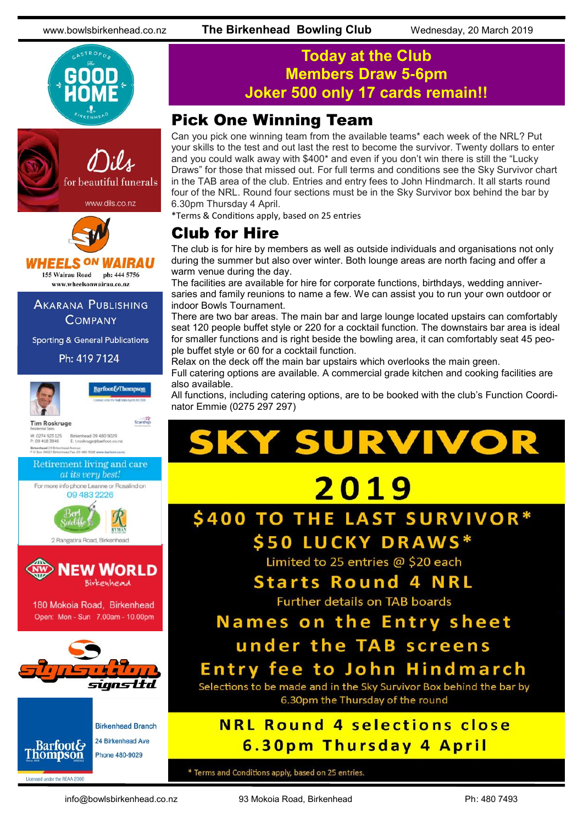







*VHEELS ON WAIRAU* 155 Wairau Road ph: 444 5756

www.wheelsonwairau.co.nz

#### **AKARANA PUBLISHING COMPANY**

**Sporting & General Publications** 

Ph: 419 7124



#### **Today at the Club Members Draw 5-6pm Joker 500 only 17 cards remain!!**

#### Pick One Winning Team

Can you pick one winning team from the available teams\* each week of the NRL? Put your skills to the test and out last the rest to become the survivor. Twenty dollars to enter and you could walk away with \$400\* and even if you don't win there is still the "Lucky Draws" for those that missed out. For full terms and conditions see the Sky Survivor chart in the TAB area of the club. Entries and entry fees to John Hindmarch. It all starts round four of the NRL. Round four sections must be in the Sky Survivor box behind the bar by 6.30pm Thursday 4 April.

\*Terms & Conditions apply, based on 25 entries

#### Club for Hire

The club is for hire by members as well as outside individuals and organisations not only during the summer but also over winter. Both lounge areas are north facing and offer a warm venue during the day.

The facilities are available for hire for corporate functions, birthdays, wedding anniversaries and family reunions to name a few. We can assist you to run your own outdoor or indoor Bowls Tournament.

There are two bar areas. The main bar and large lounge located upstairs can comfortably seat 120 people buffet style or 220 for a cocktail function. The downstairs bar area is ideal for smaller functions and is right beside the bowling area, it can comfortably seat 45 people buffet style or 60 for a cocktail function.

Relax on the deck off the main bar upstairs which overlooks the main green.

Full catering options are available. A commercial grade kitchen and cooking facilities are also available.

All functions, including catering options, are to be booked with the club's Function Coordinator Emmie (0275 297 297)



\* Terms and Conditions apply, based on 25 entries.